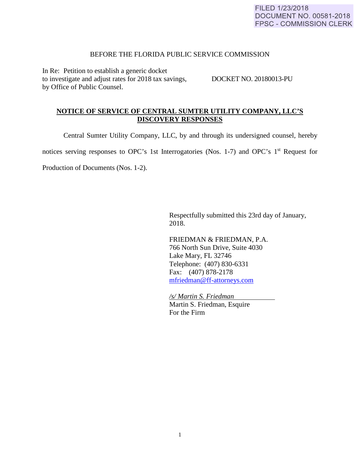## BEFORE THE FLORIDA PUBLIC SERVICE COMMISSION

In Re: Petition to establish a generic docket to investigate and adjust rates for 2018 tax savings, DOCKET NO. 20180013-PU by Office of Public Counsel.

## **NOTICE OF SERVICE OF CENTRAL SUMTER UTILITY COMPANY, LLC'S DISCOVERY RESPONSES**

Central Sumter Utility Company, LLC, by and through its undersigned counsel, hereby

notices serving responses to OPC's 1st Interrogatories (Nos. 1-7) and OPC's 1<sup>st</sup> Request for

Production of Documents (Nos. 1-2).

 Respectfully submitted this 23rd day of January, 2018.

 FRIEDMAN & FRIEDMAN, P.A. 766 North Sun Drive, Suite 4030 Lake Mary, FL 32746 Telephone: (407) 830-6331 Fax: (407) 878-2178 [mfriedman@ff-attorneys.com](mailto:mfriedman@ff-attorneys.com)

 */s/ Martin S. Friedman*  Martin S. Friedman, Esquire For the Firm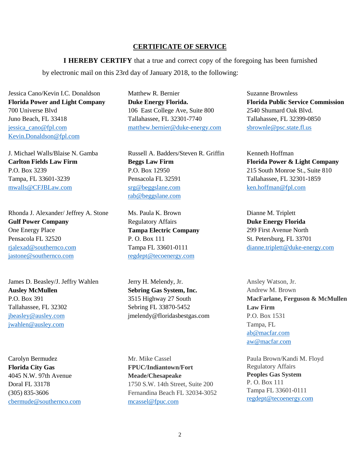## **CERTIFICATE OF SERVICE**

**I HEREBY CERTIFY** that a true and correct copy of the foregoing has been furnished by electronic mail on this 23rd day of January 2018, to the following:

Jessica Cano/Kevin I.C. Donaldson **Florida Power and Light Company** 700 Universe Blvd Juno Beach, FL 33418 [jessica\\_cano@fpl.com](mailto:jessica_cano@fpl.com) [Kevin.Donaldson@fpl.com](mailto:Kevin.Donaldson@fpl.com)

J. Michael Walls/Blaise N. Gamba **Carlton Fields Law Firm** P.O. Box 3239 Tampa, FL 33601-3239 [mwalls@CFJBLaw.com](mailto:mwalls@CFJBLaw.com)

Rhonda J. Alexander/ Jeffrey A. Stone **Gulf Power Company** One Energy Place Pensacola FL 32520 [rjalexad@southernco.com](mailto:rjalexad@southernco.com) [jastone@southernco.com](mailto:jastone@southernco.com)

James D. Beasley/J. Jeffry Wahlen **Ausley McMullen** P.O. Box 391 Tallahassee, FL 32302 [jbeasley@ausley.com](mailto:jbeasley@ausley.com) [jwahlen@ausley.com](mailto:jwahlen@ausley.com)

Carolyn Bermudez **Florida City Gas**  4045 N.W. 97th Avenue Doral FL 33178 (305) 835-3606 [cbermude@southernco.com](mailto:cbermude@southernco.com)

Matthew R. Bernier **Duke Energy Florida.** 106 East College Ave, Suite 800 Tallahassee, FL 32301-7740 [matthew.bernier@duke-energy.com](mailto:matthew.bernier@duke-energy.com)

Russell A. Badders/Steven R. Griffin **Beggs Law Firm**  P.O. Box 12950 Pensacola FL 32591 [srg@beggslane.com](mailto:srg@beggslane.com) [rab@beggslane.com](mailto:rab@beggslane.com)

Ms. Paula K. Brown Regulatory Affairs **Tampa Electric Company** P. O. Box 111 Tampa FL 33601-0111 [regdept@tecoenergy.com](mailto:regdept@tecoenergy.com)

Jerry H. Melendy, Jr. **Sebring Gas System, Inc.** 3515 Highway 27 South Sebring FL 33870-5452 jmelendy@floridasbestgas.com

Mr. Mike Cassel **FPUC/Indiantown/Fort Meade/Chesapeake** 1750 S.W. 14th Street, Suite 200 Fernandina Beach FL 32034-3052 [mcassel@fpuc.com](mailto:mcassel@fpuc.com)

Suzanne Brownless **Florida Public Service Commission** 2540 Shumard Oak Blvd. Tallahassee, FL 32399-0850 [sbrownle@psc.state.fl.us](mailto:sbrownle@psc.state.fl.us)

Kenneth Hoffman **Florida Power & Light Company** 215 South Monroe St., Suite 810 Tallahassee, FL 32301-1859 [ken.hoffman@fpl.com](mailto:ken.hoffman@fpl.com)

Dianne M. Triplett **Duke Energy Florida** 299 First Avenue North St. Petersburg, FL 33701 [dianne.triplett@duke-energy.com](mailto:dianne.triplett@duke-energy.com)

Ansley Watson, Jr. Andrew M. Brown **MacFarlane, Ferguson & McMullen Law Firm** P.O. Box 1531 Tampa, FL [ab@macfar.com](mailto:ab@macfar.com) [aw@macfar.com](mailto:aw@macfar.com)

Paula Brown/Kandi M. Floyd Regulatory Affairs **Peoples Gas System** P. O. Box 111 Tampa FL 33601-0111 [regdept@tecoenergy.com](mailto:regdept@tecoenergy.com)